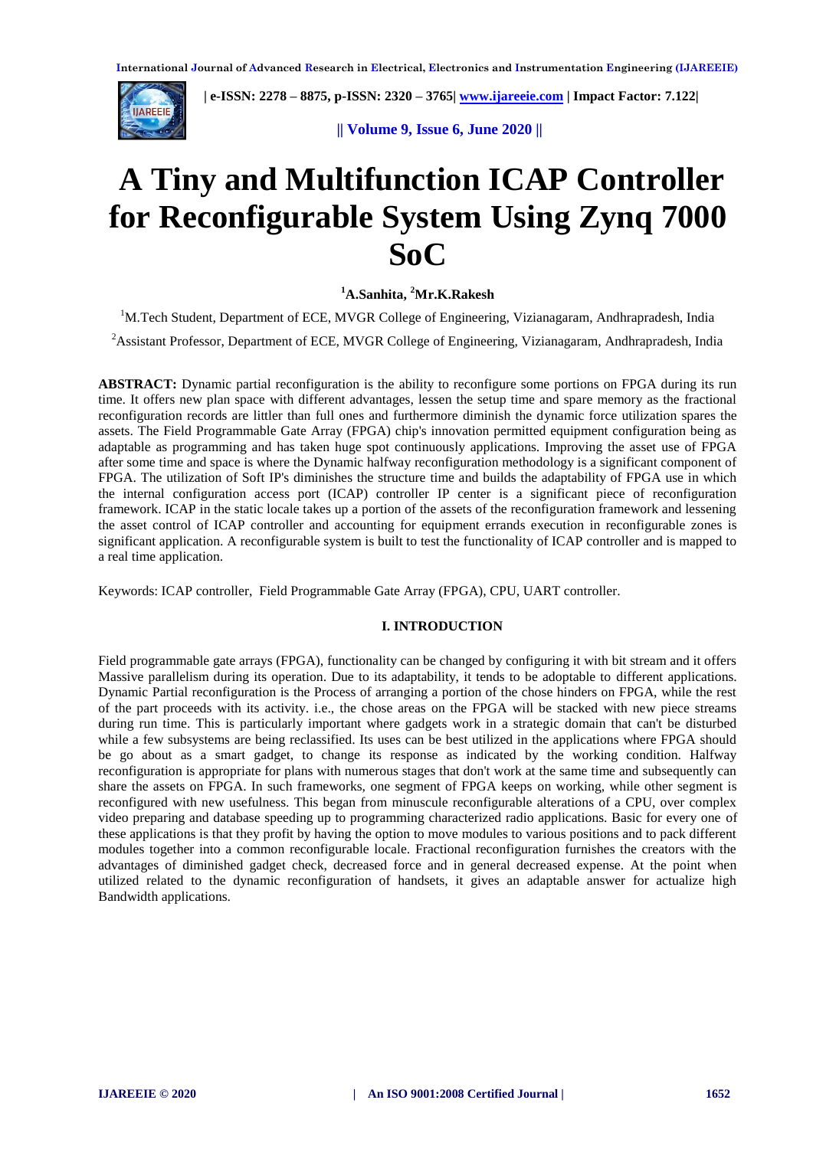

 **| e-ISSN: 2278 – 8875, p-ISSN: 2320 – 3765[| www.ijareeie.com](http://www.ijareeie.com/) | Impact Factor: 7.122|** 

 **|| Volume 9, Issue 6, June 2020 ||** 

# **A Tiny and Multifunction ICAP Controller for Reconfigurable System Using Zynq 7000 SoC**

# **<sup>1</sup>A.Sanhita, <sup>2</sup>Mr.K.Rakesh**

<sup>1</sup>M.Tech Student, Department of ECE, MVGR College of Engineering, Vizianagaram, Andhrapradesh, India

<sup>2</sup> Assistant Professor, Department of ECE, MVGR College of Engineering, Vizianagaram, Andhrapradesh, India

**ABSTRACT:** Dynamic partial reconfiguration is the ability to reconfigure some portions on FPGA during its run time. It offers new plan space with different advantages, lessen the setup time and spare memory as the fractional reconfiguration records are littler than full ones and furthermore diminish the dynamic force utilization spares the assets. The Field Programmable Gate Array (FPGA) chip's innovation permitted equipment configuration being as adaptable as programming and has taken huge spot continuously applications. Improving the asset use of FPGA after some time and space is where the Dynamic halfway reconfiguration methodology is a significant component of FPGA. The utilization of Soft IP's diminishes the structure time and builds the adaptability of FPGA use in which the internal configuration access port (ICAP) controller IP center is a significant piece of reconfiguration framework. ICAP in the static locale takes up a portion of the assets of the reconfiguration framework and lessening the asset control of ICAP controller and accounting for equipment errands execution in reconfigurable zones is significant application. A reconfigurable system is built to test the functionality of ICAP controller and is mapped to a real time application.

Keywords: ICAP controller, Field Programmable Gate Array (FPGA), CPU, UART controller.

# **I. INTRODUCTION**

Field programmable gate arrays (FPGA), functionality can be changed by configuring it with bit stream and it offers Massive parallelism during its operation. Due to its adaptability, it tends to be adoptable to different applications. Dynamic Partial reconfiguration is the Process of arranging a portion of the chose hinders on FPGA, while the rest of the part proceeds with its activity. i.e., the chose areas on the FPGA will be stacked with new piece streams during run time. This is particularly important where gadgets work in a strategic domain that can't be disturbed while a few subsystems are being reclassified. Its uses can be best utilized in the applications where FPGA should be go about as a smart gadget, to change its response as indicated by the working condition. Halfway reconfiguration is appropriate for plans with numerous stages that don't work at the same time and subsequently can share the assets on FPGA. In such frameworks, one segment of FPGA keeps on working, while other segment is reconfigured with new usefulness. This began from minuscule reconfigurable alterations of a CPU, over complex video preparing and database speeding up to programming characterized radio applications. Basic for every one of these applications is that they profit by having the option to move modules to various positions and to pack different modules together into a common reconfigurable locale. Fractional reconfiguration furnishes the creators with the advantages of diminished gadget check, decreased force and in general decreased expense. At the point when utilized related to the dynamic reconfiguration of handsets, it gives an adaptable answer for actualize high Bandwidth applications.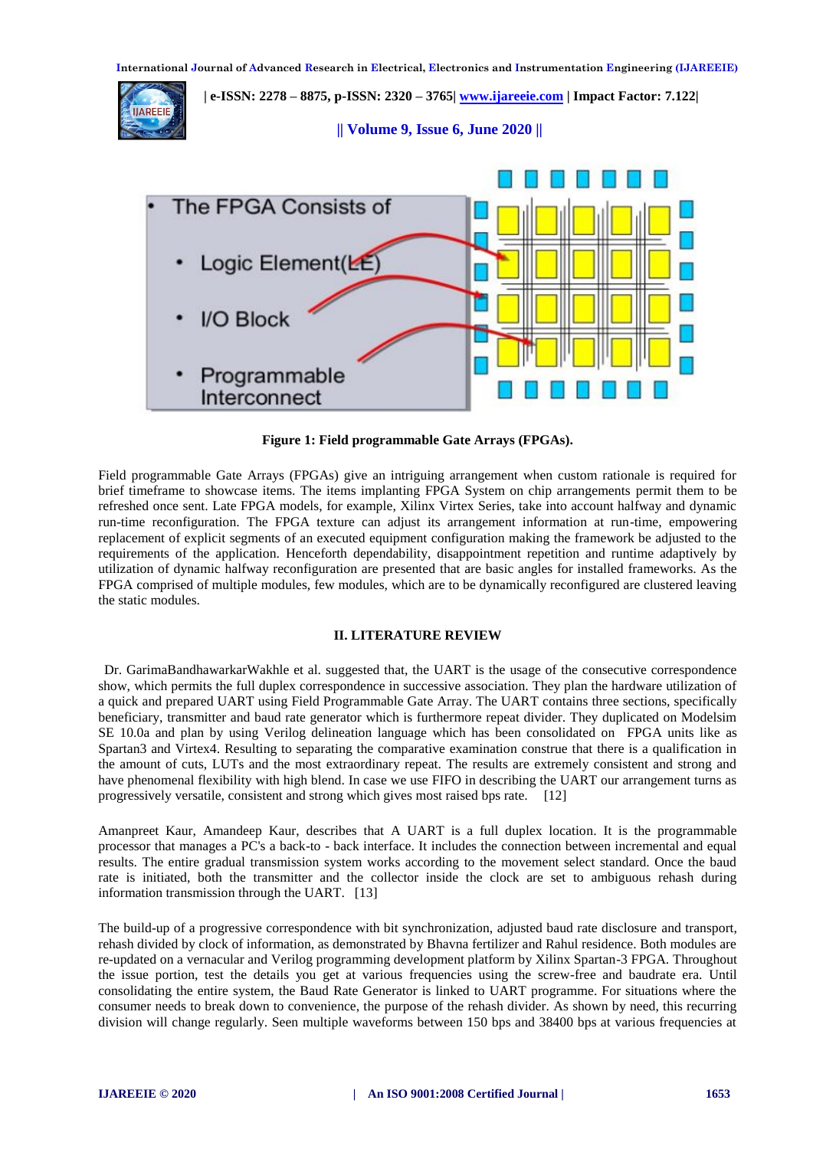

**Figure 1: Field programmable Gate Arrays (FPGAs).**

Field programmable Gate Arrays (FPGAs) give an intriguing arrangement when custom rationale is required for brief timeframe to showcase items. The items implanting FPGA System on chip arrangements permit them to be refreshed once sent. Late FPGA models, for example, Xilinx Virtex Series, take into account halfway and dynamic run-time reconfiguration. The FPGA texture can adjust its arrangement information at run-time, empowering replacement of explicit segments of an executed equipment configuration making the framework be adjusted to the requirements of the application. Henceforth dependability, disappointment repetition and runtime adaptively by utilization of dynamic halfway reconfiguration are presented that are basic angles for installed frameworks. As the FPGA comprised of multiple modules, few modules, which are to be dynamically reconfigured are clustered leaving the static modules.

# **II. LITERATURE REVIEW**

Dr. GarimaBandhawarkarWakhle et al. suggested that, the UART is the usage of the consecutive correspondence show, which permits the full duplex correspondence in successive association. They plan the hardware utilization of a quick and prepared UART using Field Programmable Gate Array. The UART contains three sections, specifically beneficiary, transmitter and baud rate generator which is furthermore repeat divider. They duplicated on Modelsim SE 10.0a and plan by using Verilog delineation language which has been consolidated on "FPGA units like as Spartan3 and Virtex4. Resulting to separating the comparative examination construe that there is a qualification in the amount of cuts, LUTs and the most extraordinary repeat. The results are extremely consistent and strong and have phenomenal flexibility with high blend. In case we use FIFO in describing the UART our arrangement turns as progressively versatile, consistent and strong which gives most raised bps rate. [12]

Amanpreet Kaur, Amandeep Kaur, describes that A UART is a full duplex location. It is the programmable processor that manages a PC's a back-to - back interface. It includes the connection between incremental and equal results. The entire gradual transmission system works according to the movement select standard. Once the baud rate is initiated, both the transmitter and the collector inside the clock are set to ambiguous rehash during information transmission through the UART. [13]

The build-up of a progressive correspondence with bit synchronization, adjusted baud rate disclosure and transport, rehash divided by clock of information, as demonstrated by Bhavna fertilizer and Rahul residence. Both modules are re-updated on a vernacular and Verilog programming development platform by Xilinx Spartan-3 FPGA. Throughout the issue portion, test the details you get at various frequencies using the screw-free and baudrate era. Until consolidating the entire system, the Baud Rate Generator is linked to UART programme. For situations where the consumer needs to break down to convenience, the purpose of the rehash divider. As shown by need, this recurring division will change regularly. Seen multiple waveforms between 150 bps and 38400 bps at various frequencies at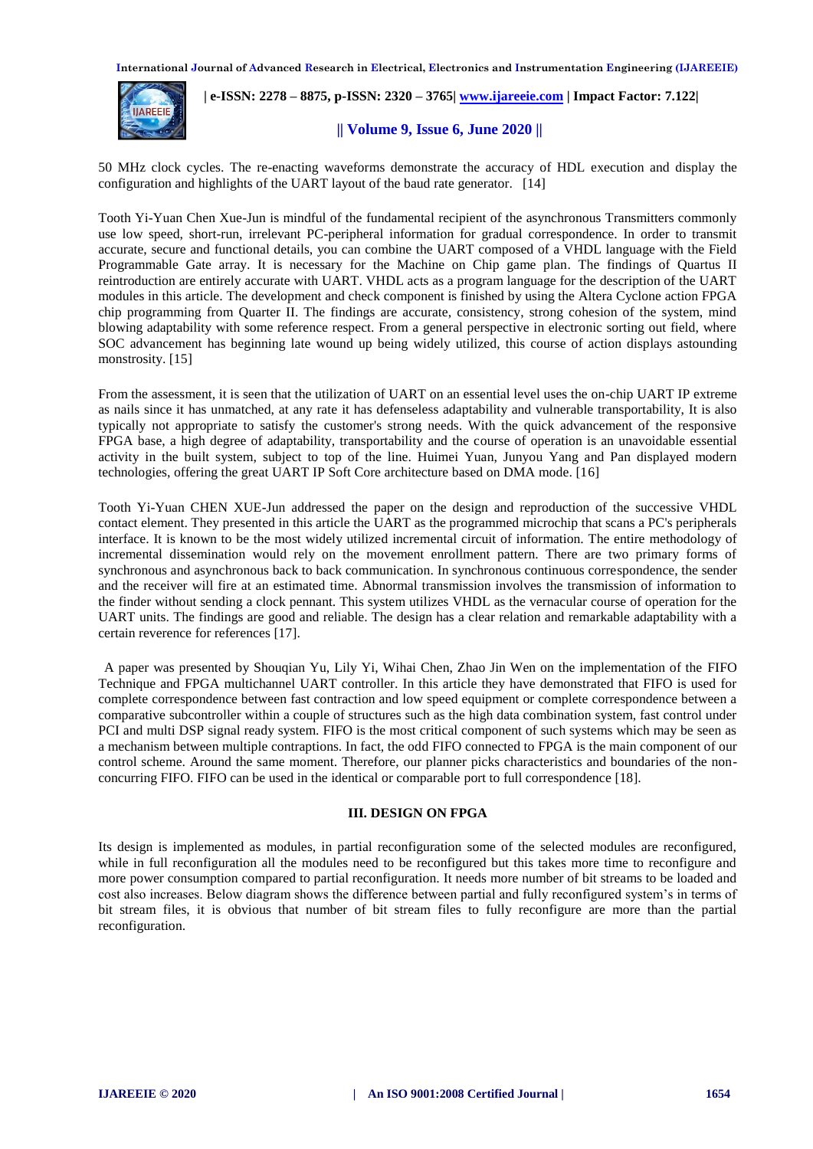

 **| e-ISSN: 2278 – 8875, p-ISSN: 2320 – 3765[| www.ijareeie.com](http://www.ijareeie.com/) | Impact Factor: 7.122|** 

#### **|| Volume 9, Issue 6, June 2020 ||**

50 MHz clock cycles. The re-enacting waveforms demonstrate the accuracy of HDL execution and display the configuration and highlights of the UART layout of the baud rate generator. [14]

Tooth Yi-Yuan Chen Xue-Jun is mindful of the fundamental recipient of the asynchronous Transmitters commonly use low speed, short-run, irrelevant PC-peripheral information for gradual correspondence. In order to transmit accurate, secure and functional details, you can combine the UART composed of a VHDL language with the Field Programmable Gate array. It is necessary for the Machine on Chip game plan. The findings of Quartus II reintroduction are entirely accurate with UART. VHDL acts as a program language for the description of the UART modules in this article. The development and check component is finished by using the Altera Cyclone action FPGA chip programming from Quarter II. The findings are accurate, consistency, strong cohesion of the system, mind blowing adaptability with some reference respect. From a general perspective in electronic sorting out field, where SOC advancement has beginning late wound up being widely utilized, this course of action displays astounding monstrosity. [15]

From the assessment, it is seen that the utilization of UART on an essential level uses the on-chip UART IP extreme as nails since it has unmatched, at any rate it has defenseless adaptability and vulnerable transportability, It is also typically not appropriate to satisfy the customer's strong needs. With the quick advancement of the responsive FPGA base, a high degree of adaptability, transportability and the course of operation is an unavoidable essential activity in the built system, subject to top of the line. Huimei Yuan, Junyou Yang and Pan displayed modern technologies, offering the great UART IP Soft Core architecture based on DMA mode. [16]

Tooth Yi-Yuan CHEN XUE-Jun addressed the paper on the design and reproduction of the successive VHDL contact element. They presented in this article the UART as the programmed microchip that scans a PC's peripherals interface. It is known to be the most widely utilized incremental circuit of information. The entire methodology of incremental dissemination would rely on the movement enrollment pattern. There are two primary forms of synchronous and asynchronous back to back communication. In synchronous continuous correspondence, the sender and the receiver will fire at an estimated time. Abnormal transmission involves the transmission of information to the finder without sending a clock pennant. This system utilizes VHDL as the vernacular course of operation for the UART units. The findings are good and reliable. The design has a clear relation and remarkable adaptability with a certain reverence for references [17].

"A paper was presented by Shouqian Yu, Lily Yi, Wihai Chen, Zhao Jin Wen on the implementation of the FIFO Technique and FPGA multichannel UART controller. In this article they have demonstrated that FIFO is used for complete correspondence between fast contraction and low speed equipment or complete correspondence between a comparative subcontroller within a couple of structures such as the high data combination system, fast control under PCI and multi DSP signal ready system. FIFO is the most critical component of such systems which may be seen as a mechanism between multiple contraptions. In fact, the odd FIFO connected to FPGA is the main component of our control scheme. Around the same moment. Therefore, our planner picks characteristics and boundaries of the nonconcurring FIFO. FIFO can be used in the identical or comparable port to full correspondence [18].

# **III. DESIGN ON FPGA**

Its design is implemented as modules, in partial reconfiguration some of the selected modules are reconfigured, while in full reconfiguration all the modules need to be reconfigured but this takes more time to reconfigure and more power consumption compared to partial reconfiguration. It needs more number of bit streams to be loaded and cost also increases. Below diagram shows the difference between partial and fully reconfigured system's in terms of bit stream files, it is obvious that number of bit stream files to fully reconfigure are more than the partial reconfiguration.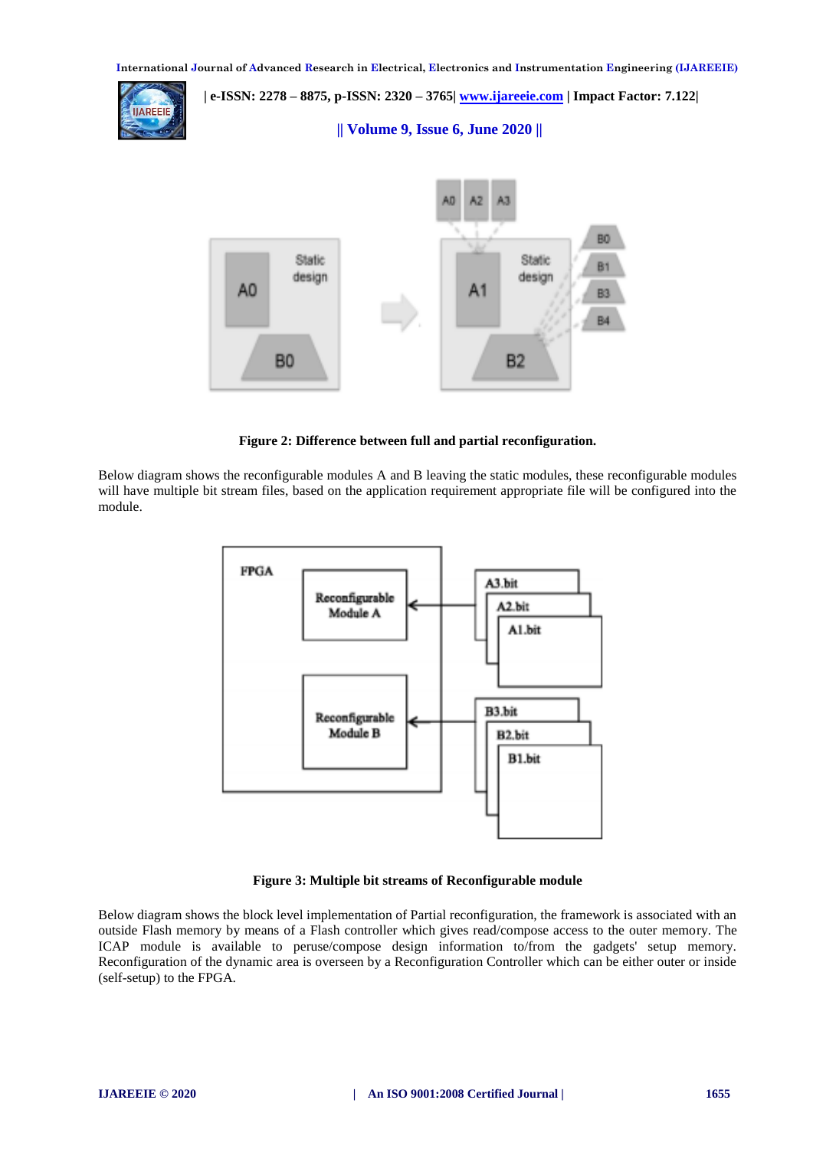**| e-ISSN: 2278 – 8875, p-ISSN: 2320 – 3765[| www.ijareeie.com](http://www.ijareeie.com/) | Impact Factor: 7.122|** 

 **|| Volume 9, Issue 6, June 2020 ||** 



**Figure 2: Difference between full and partial reconfiguration.**

Below diagram shows the reconfigurable modules A and B leaving the static modules, these reconfigurable modules will have multiple bit stream files, based on the application requirement appropriate file will be configured into the module.



# **Figure 3: Multiple bit streams of Reconfigurable module**

Below diagram shows the block level implementation of Partial reconfiguration, the framework is associated with an outside Flash memory by means of a Flash controller which gives read/compose access to the outer memory. The ICAP module is available to peruse/compose design information to/from the gadgets' setup memory. Reconfiguration of the dynamic area is overseen by a Reconfiguration Controller which can be either outer or inside (self-setup) to the FPGA.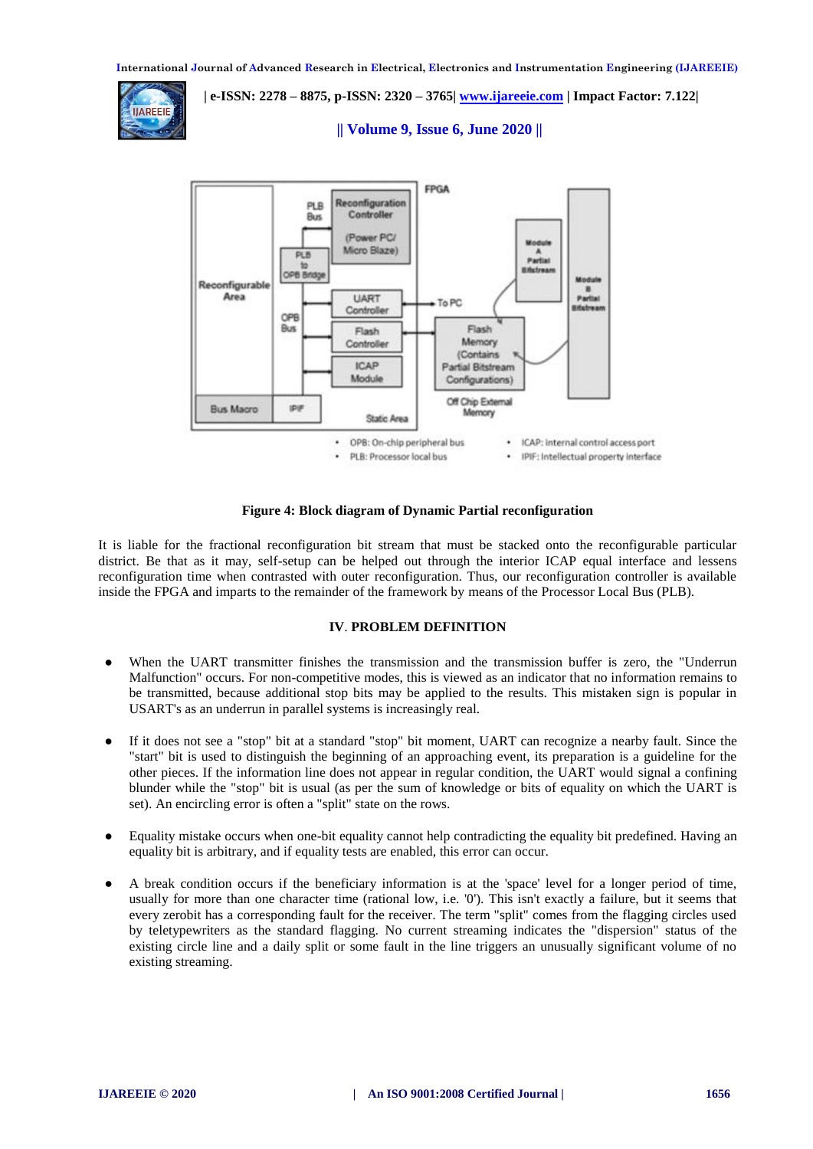

 **| e-ISSN: 2278 – 8875, p-ISSN: 2320 – 3765[| www.ijareeie.com](http://www.ijareeie.com/) | Impact Factor: 7.122|** 

# **|| Volume 9, Issue 6, June 2020 ||**



#### **Figure 4: Block diagram of Dynamic Partial reconfiguration**

It is liable for the fractional reconfiguration bit stream that must be stacked onto the reconfigurable particular district. Be that as it may, self-setup can be helped out through the interior ICAP equal interface and lessens reconfiguration time when contrasted with outer reconfiguration. Thus, our reconfiguration controller is available inside the FPGA and imparts to the remainder of the framework by means of the Processor Local Bus (PLB).

#### **IV**. **PROBLEM DEFINITION**

- When the UART transmitter finishes the transmission and the transmission buffer is zero, the "Underrun Malfunction" occurs. For non-competitive modes, this is viewed as an indicator that no information remains to be transmitted, because additional stop bits may be applied to the results. This mistaken sign is popular in USART's as an underrun in parallel systems is increasingly real.
- If it does not see a "stop" bit at a standard "stop" bit moment, UART can recognize a nearby fault. Since the "start" bit is used to distinguish the beginning of an approaching event, its preparation is a guideline for the other pieces. If the information line does not appear in regular condition, the UART would signal a confining blunder while the "stop" bit is usual (as per the sum of knowledge or bits of equality on which the UART is set). An encircling error is often a "split" state on the rows.
- Equality mistake occurs when one-bit equality cannot help contradicting the equality bit predefined. Having an equality bit is arbitrary, and if equality tests are enabled, this error can occur.
- A break condition occurs if the beneficiary information is at the 'space' level for a longer period of time, usually for more than one character time (rational low, i.e. '0'). This isn't exactly a failure, but it seems that every zerobit has a corresponding fault for the receiver. The term "split" comes from the flagging circles used by teletypewriters as the standard flagging. No current streaming indicates the "dispersion" status of the existing circle line and a daily split or some fault in the line triggers an unusually significant volume of no existing streaming.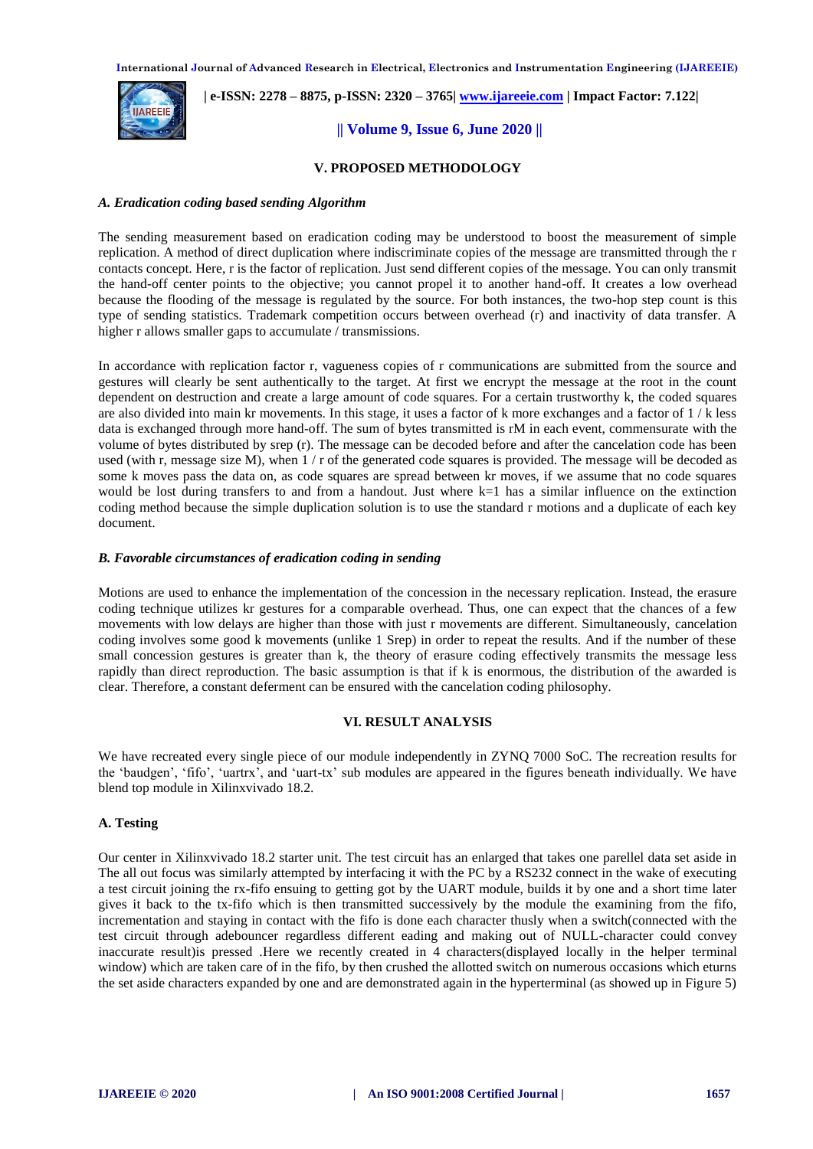

 **| e-ISSN: 2278 – 8875, p-ISSN: 2320 – 3765[| www.ijareeie.com](http://www.ijareeie.com/) | Impact Factor: 7.122|** 

#### **|| Volume 9, Issue 6, June 2020 ||**

#### **V. PROPOSED METHODOLOGY**

#### *A. Eradication coding based sending Algorithm*

The sending measurement based on eradication coding may be understood to boost the measurement of simple replication. A method of direct duplication where indiscriminate copies of the message are transmitted through the r contacts concept. Here, r is the factor of replication. Just send different copies of the message. You can only transmit the hand-off center points to the objective; you cannot propel it to another hand-off. It creates a low overhead because the flooding of the message is regulated by the source. For both instances, the two-hop step count is this type of sending statistics. Trademark competition occurs between overhead (r) and inactivity of data transfer. A higher r allows smaller gaps to accumulate / transmissions.

In accordance with replication factor r, vagueness copies of r communications are submitted from the source and gestures will clearly be sent authentically to the target. At first we encrypt the message at the root in the count dependent on destruction and create a large amount of code squares. For a certain trustworthy k, the coded squares are also divided into main kr movements. In this stage, it uses a factor of k more exchanges and a factor of  $1/k$  less data is exchanged through more hand-off. The sum of bytes transmitted is rM in each event, commensurate with the volume of bytes distributed by srep (r). The message can be decoded before and after the cancelation code has been used (with r, message size M), when  $1/r$  of the generated code squares is provided. The message will be decoded as some k moves pass the data on, as code squares are spread between kr moves, if we assume that no code squares would be lost during transfers to and from a handout. Just where k=1 has a similar influence on the extinction coding method because the simple duplication solution is to use the standard r motions and a duplicate of each key document.

#### *B. Favorable circumstances of eradication coding in sending*

Motions are used to enhance the implementation of the concession in the necessary replication. Instead, the erasure coding technique utilizes kr gestures for a comparable overhead. Thus, one can expect that the chances of a few movements with low delays are higher than those with just r movements are different. Simultaneously, cancelation coding involves some good k movements (unlike 1 Srep) in order to repeat the results. And if the number of these small concession gestures is greater than k, the theory of erasure coding effectively transmits the message less rapidly than direct reproduction. The basic assumption is that if k is enormous, the distribution of the awarded is clear. Therefore, a constant deferment can be ensured with the cancelation coding philosophy.

#### **VI. RESULT ANALYSIS**

We have recreated every single piece of our module independently in ZYNQ 7000 SoC. The recreation results for the 'baudgen', 'fifo', 'uartrx', and 'uart-tx' sub modules are appeared in the figures beneath individually. We have blend top module in Xilinxvivado 18.2.

#### **A. Testing**

Our center in Xilinxvivado 18.2 starter unit. The test circuit has an enlarged that takes one parellel data set aside in The all out focus was similarly attempted by interfacing it with the PC by a RS232 connect in the wake of executing a test circuit joining the rx-fifo ensuing to getting got by the UART module, builds it by one and a short time later gives it back to the tx-fifo which is then transmitted successively by the module the examining from the fifo, incrementation and staying in contact with the fifo is done each character thusly when a switch(connected with the test circuit through adebouncer regardless different eading and making out of NULL-character could convey inaccurate result)is pressed .Here we recently created in 4 characters(displayed locally in the helper terminal window) which are taken care of in the fifo, by then crushed the allotted switch on numerous occasions which eturns the set aside characters expanded by one and are demonstrated again in the hyperterminal (as showed up in Figure 5)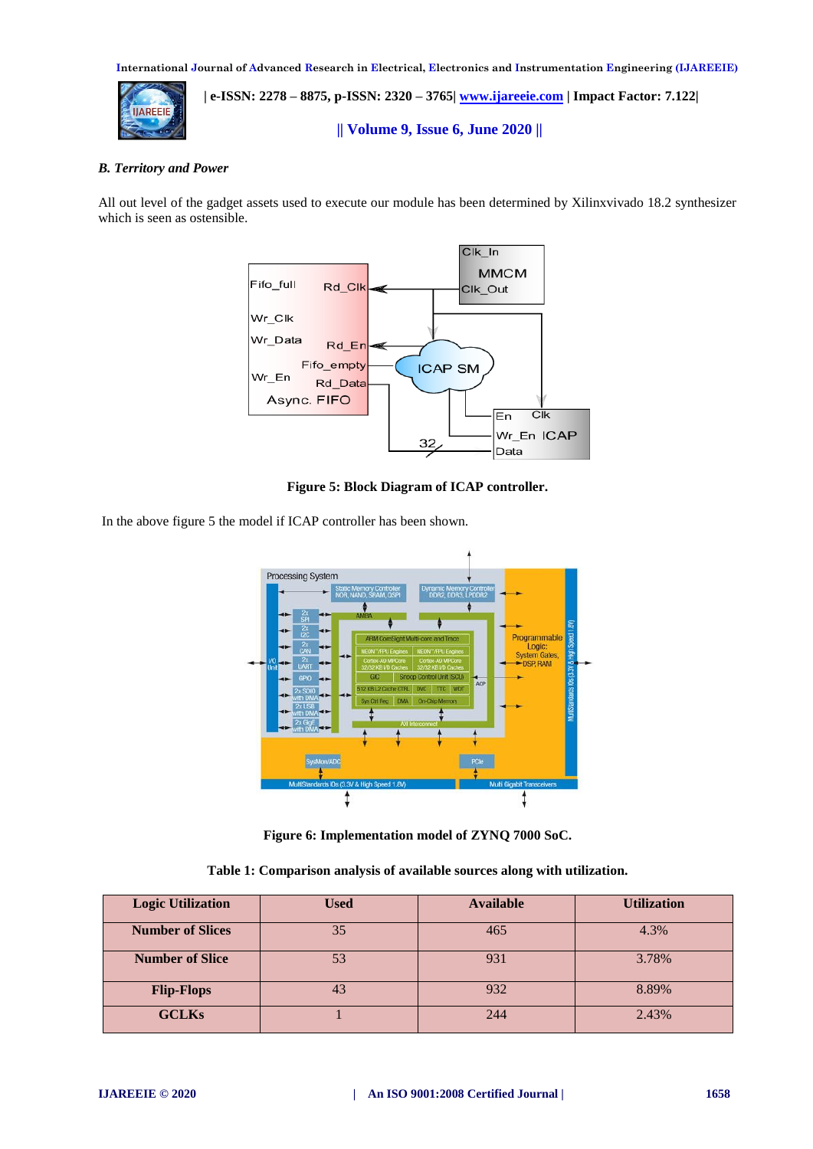

 **| e-ISSN: 2278 – 8875, p-ISSN: 2320 – 3765[| www.ijareeie.com](http://www.ijareeie.com/) | Impact Factor: 7.122|** 

 **|| Volume 9, Issue 6, June 2020 ||** 

# *B. Territory and Power*

All out level of the gadget assets used to execute our module has been determined by Xilinxvivado 18.2 synthesizer which is seen as ostensible.



**Figure 5: Block Diagram of ICAP controller.**

In the above figure 5 the model if ICAP controller has been shown.



**Figure 6: Implementation model of ZYNQ 7000 SoC.**

**Table 1: Comparison analysis of available sources along with utilization.**

| <b>Logic Utilization</b> | Used | <b>Available</b> | <b>Utilization</b> |
|--------------------------|------|------------------|--------------------|
| <b>Number of Slices</b>  | 35   | 465              | 4.3%               |
| <b>Number of Slice</b>   | 53   | 931              | 3.78%              |
| <b>Flip-Flops</b>        | 43   | 932              | 8.89%              |
| <b>GCLKs</b>             |      | 244              | 2.43%              |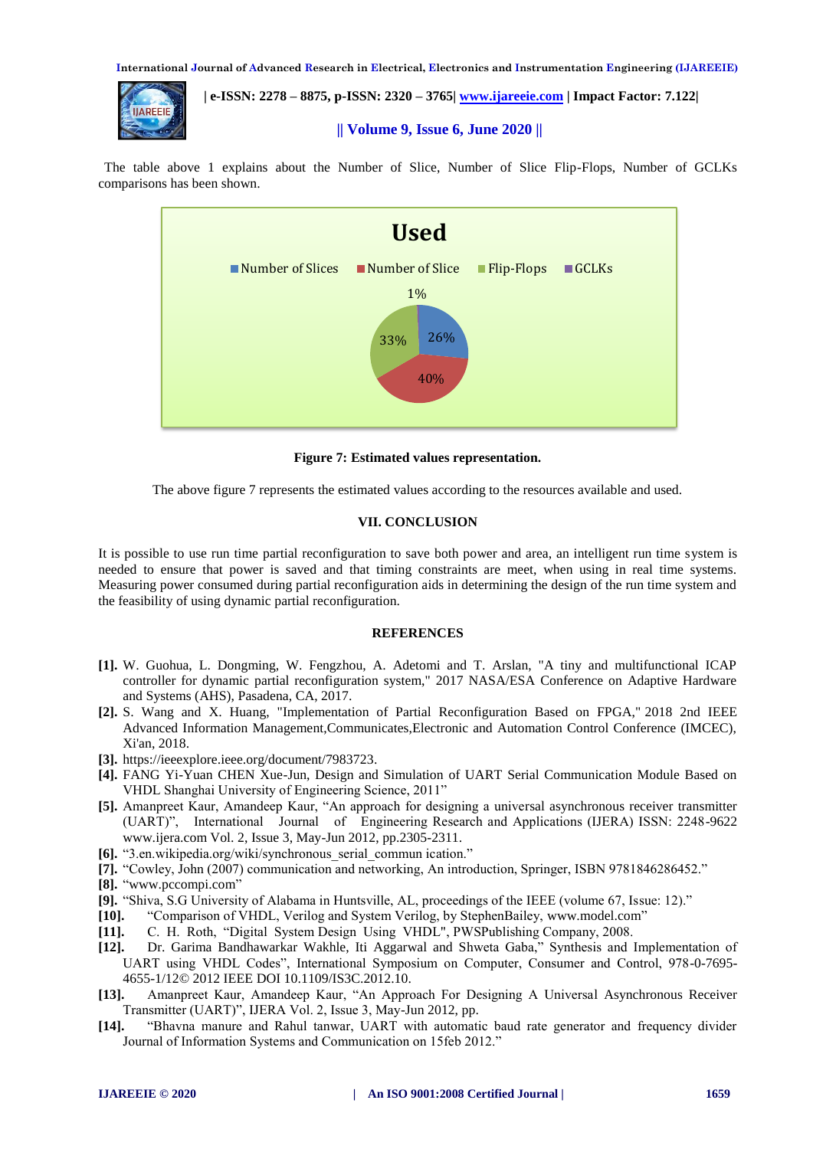

 **| e-ISSN: 2278 – 8875, p-ISSN: 2320 – 3765[| www.ijareeie.com](http://www.ijareeie.com/) | Impact Factor: 7.122|** 

 **|| Volume 9, Issue 6, June 2020 ||** 

The table above 1 explains about the Number of Slice, Number of Slice Flip-Flops, Number of GCLKs comparisons has been shown.



**Figure 7: Estimated values representation.**

The above figure 7 represents the estimated values according to the resources available and used.

# **VII. CONCLUSION**

It is possible to use run time partial reconfiguration to save both power and area, an intelligent run time system is needed to ensure that power is saved and that timing constraints are meet, when using in real time systems. Measuring power consumed during partial reconfiguration aids in determining the design of the run time system and the feasibility of using dynamic partial reconfiguration.

# **REFERENCES**

- **[1].** W. Guohua, L. Dongming, W. Fengzhou, A. Adetomi and T. Arslan, "A tiny and multifunctional ICAP controller for dynamic partial reconfiguration system," 2017 NASA/ESA Conference on Adaptive Hardware and Systems (AHS), Pasadena, CA, 2017.
- **[2].** S. Wang and X. Huang, "Implementation of Partial Reconfiguration Based on FPGA," 2018 2nd IEEE Advanced Information Management,Communicates,Electronic and Automation Control Conference (IMCEC), Xi'an, 2018.
- **[3].** [https://ieeexplore.ieee.org/document/7983723.](https://ieeexplore.ieee.org/document/7983723)
- **[4].** FANG Yi-Yuan CHEN Xue-Jun, Design and Simulation of UART Serial Communication Module Based on VHDL Shanghai University of Engineering Science, 2011"
- **[5].** Amanpreet Kaur, Amandeep Kaur, "An approach for designing a universal asynchronous receiver transmitter (UART)", International Journal of Engineering Research and Applications (IJERA) ISSN: 2248-9622 www.ijera.com Vol. 2, Issue 3, May-Jun 2012, pp.2305-2311.
- **[6].** "3.en.wikipedia.org/wiki/synchronous\_serial\_commun ication."
- **[7].** "Cowley, John (2007) communication and networking, An introduction, Springer, ISBN 9781846286452."
- **[8].** ["www.pccompi.com"](http://www.pccompi.com/)
- **[9].** "Shiva, S.G University of Alabama in Huntsville, AL, proceedings of the IEEE (volume 67, Issue: 12)."
- **[10].** "Comparison of VHDL, Verilog and System Verilog, by StephenBailey, [www.model.com"](about:blank)
- **[11].** C. H. Roth, "Digital System Design Using VHDL", PWSPublishing Company, 2008.
- **[12].** Dr. Garima Bandhawarkar Wakhle, Iti Aggarwal and Shweta Gaba," Synthesis and Implementation of UART using VHDL Codes", International Symposium on Computer, Consumer and Control, 978-0-7695- 4655-1/12© 2012 IEEE DOI 10.1109/IS3C.2012.10.
- **[13].** Amanpreet Kaur, Amandeep Kaur, "An Approach For Designing A Universal Asynchronous Receiver Transmitter (UART)", IJERA Vol. 2, Issue 3, May-Jun 2012, pp.
- **[14].** "Bhavna manure and Rahul tanwar, UART with automatic baud rate generator and frequency divider Journal of Information Systems and Communication on 15feb 2012."